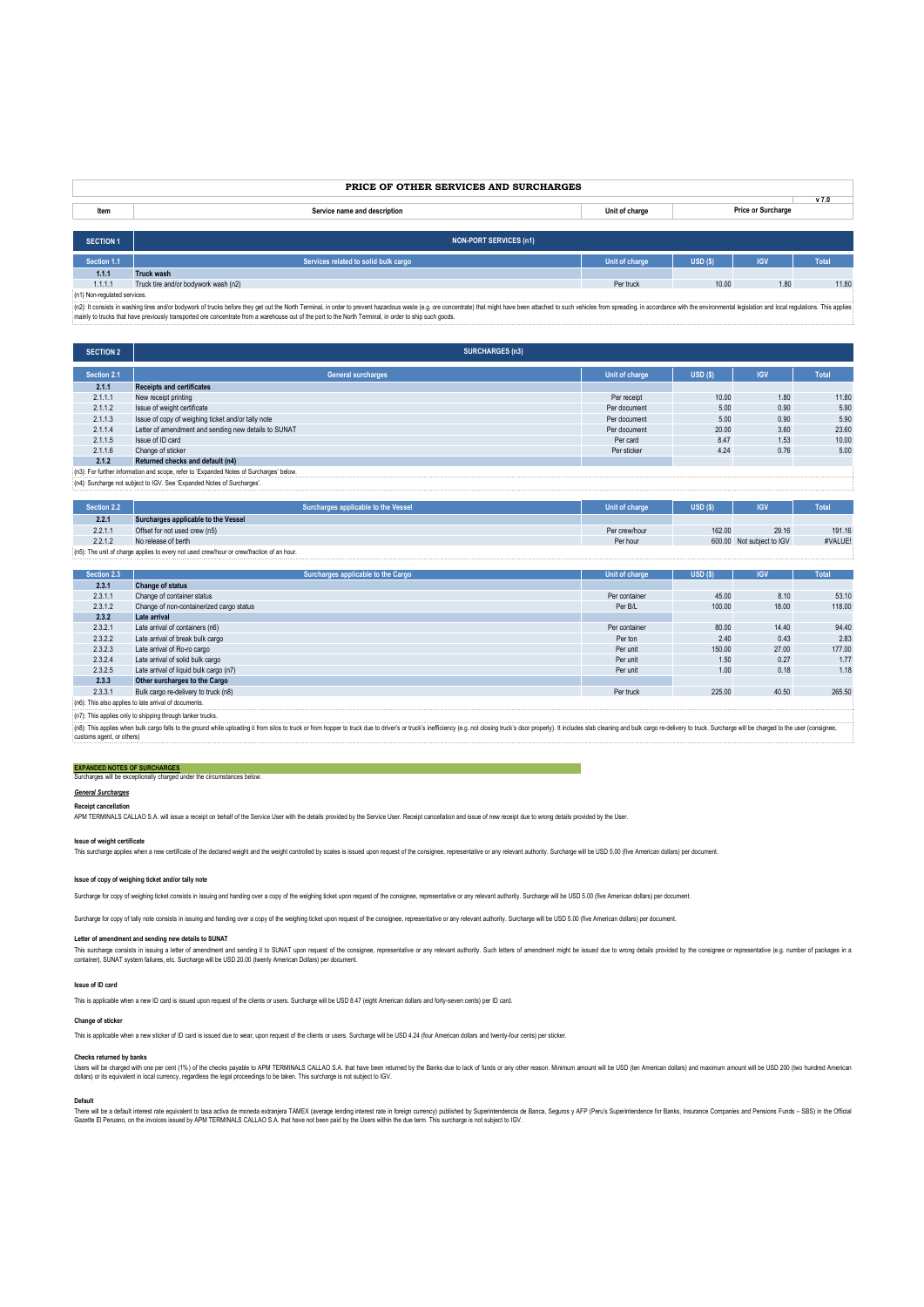# **PRICE OF OTHER SERVICES AND SURCHARGES**

| Item             | Service name and description  | Unit of charge | <b>VI.L</b><br>Price or Surcharge |
|------------------|-------------------------------|----------------|-----------------------------------|
|                  |                               |                |                                   |
| <b>SECTION 1</b> | <b>NON-PORT SERVICES (n1)</b> |                |                                   |

**Section 1.1 Services related to solid bulk cargo Unit of charge USD (\$) IGV Total 1.1.1 Truck wash**<br>**1.1.1.1 Truck tire and/or bodywork wash (n2)** 

1.1.1.1 Truck tire and/or bodywork wash (n2) Per truck 10.00 1.80 11.80 (n1) Non-regulated services. (n2): It consists in washing tires and/or bodywork of trucks before they get out the North Terminal, in order to prevent hazardous waste (e.g. ore concentrate) that might have been attached to such vehicles from spreading, in accordance with the environmental legislation and local regulations. This applies mainly to trucks that have previously transported ore concentrate from a warehouse out of the port to the North Terminal, in order to ship such goods.

| <b>SECTION 2</b>                                                                        | <b>SURCHARGES (n3)</b>                               |                |        |            |              |
|-----------------------------------------------------------------------------------------|------------------------------------------------------|----------------|--------|------------|--------------|
| Section 2.1                                                                             | <b>General surcharges</b>                            | Unit of charge | USD(S) | <b>IGV</b> | <b>Total</b> |
| 2.1.1                                                                                   | <b>Receipts and certificates</b>                     |                |        |            |              |
| 2.1.1.1                                                                                 | New receipt printing                                 | Per receipt    | 10.00  | 1.80       | 11.80        |
| 2.1.1.2                                                                                 | Issue of weight certificate                          | Per document   | 5.00   | 0.90       | 5.90         |
| 2.1.1.3                                                                                 | Issue of copy of weighing ticket and/or tally note   | Per document   | 5.00   | 0.90       | 5.90         |
| 2.1.1.4                                                                                 | Letter of amendment and sending new details to SUNAT | Per document   | 20.00  | 3.60       | 23.60        |
| 2.1.1.5                                                                                 | Issue of ID card                                     | Per card       | 8.47   | 1.53       | 10.00        |
| 2.1.1.6                                                                                 | Change of sticker                                    | Per sticker    | 4.24   | 0.76       | 5.00         |
| 2.1.2                                                                                   | Returned checks and default (n4)                     |                |        |            |              |
| (n3): For further information and scope, refer to 'Expanded Notes of Surcharges' below. |                                                      |                |        |            |              |
| (n4): Surcharge not subject to IGV. See 'Expanded Notes of Surcharges'.                 |                                                      |                |        |            |              |

| Section 2.2.                                                                              | Surcharges applicable to the Vessel | Unit of charge | USD(S) | <b>IGV</b>                | Total   |
|-------------------------------------------------------------------------------------------|-------------------------------------|----------------|--------|---------------------------|---------|
| 2.2.1                                                                                     | Surcharges applicable to the Vessel |                |        |                           |         |
| 2.2.1.1                                                                                   | Offset for not used crew (n5)       | Per crew/hour  | 162.00 | 29.16                     | 191.16  |
| 2.2.1.2                                                                                   | No release of berth                 | Per hour       |        | 600.00 Not subject to IGV | #VALUE! |
| (n5): The unit of charge applies to every not used crew/hour or crew/fraction of an hour. |                                     |                |        |                           |         |

| Section 2.3                                                                                                                                                                                                                                                 | Surcharges applicable to the Cargo       | Unit of charge | USD(S) | <b>IGV</b> | <b>Total</b> |
|-------------------------------------------------------------------------------------------------------------------------------------------------------------------------------------------------------------------------------------------------------------|------------------------------------------|----------------|--------|------------|--------------|
| 2.3.1                                                                                                                                                                                                                                                       | <b>Change of status</b>                  |                |        |            |              |
| 2.3.1.1                                                                                                                                                                                                                                                     | Change of container status               | Per container  | 45.00  | 8.10       | 53.10        |
| 2.3.1.2                                                                                                                                                                                                                                                     | Change of non-containerized cargo status | Per B/L        | 100.00 | 18.00      | 118.00       |
| 2.3.2                                                                                                                                                                                                                                                       | Late arrival                             |                |        |            |              |
| 2.3.2.1                                                                                                                                                                                                                                                     | Late arrival of containers (n6)          | Per container  | 80.00  | 14.40      | 94.40        |
| 2.3.2.2                                                                                                                                                                                                                                                     | Late arrival of break bulk cargo         | Per ton        | 2.40   | 0.43       | 2.83         |
| 2.3.2.3                                                                                                                                                                                                                                                     | Late arrival of Ro-ro cargo              | Per unit       | 150.00 | 27.00      | 177.00       |
| 2.3.2.4                                                                                                                                                                                                                                                     | Late arrival of solid bulk cargo         | Per unit       | 1.50   | 0.27       | 1.77         |
| 2.3.2.5                                                                                                                                                                                                                                                     | Late arrival of liquid bulk cargo (n7)   | Per unit       | 1.00   | 0.18       | 1.18         |
| 2.3.3                                                                                                                                                                                                                                                       | Other surcharges to the Cargo            |                |        |            |              |
| 2.3.3.1                                                                                                                                                                                                                                                     | Bulk cargo re-delivery to truck (n8)     | Per truck      | 225.00 | 40.50      | 265.50       |
| (n6): This also applies to late arrival of documents.                                                                                                                                                                                                       |                                          |                |        |            |              |
| (n7): This applies only to shipping through tanker trucks.                                                                                                                                                                                                  |                                          |                |        |            |              |
| i(n8): This applies when bulk cargo falls to the ground while uploading it from silos to truck or from hopper to truck due to driver's or truck's inefficiency (e.g. not closing truck's door properly). It includes slab clea<br>customs agent, or others) |                                          |                |        |            |              |

# **EXPANDED NOTES OF SURCHARGES** Surcharges will be exceptionally charged under the circumstances below:

## *General Surcharges*

**Receipt cancellation**<br>APM TERMINALS CALLAO S.A. will issue a receipt on behalf of the Service User with the details provided by the Service User. Receipt cancellation and issue of new receipt due to wrong details provided

# **Issue of weight certificate**

This surcharge applies when a new certificate of the declared weight and the weight controlled by scales is issued upon request of the consignee, representative or any relevant authority. Surcharge will be USD 5.00 (five A

# **Issue of copy of weighing ticket and/or tally note**

Surcharge for copy of weighing ticket consists in issuing and handing over a copy of the weighing ticket upon request of the consignee, representative or any relevant authority. Surcharge will be USD 5.00 (five American do

Surcharge for copy of tally note consists in issuing and handing over a copy of the weighing ticket upon request of the consignee, representative or any relevant authority. Surcharge will be USD 5.00 (five American dollars

### **Letter of amendment and sending new details to SUNAT**

This surcharge consists in issuing a letter of amendment and sending it to SUNAT upon request of the consignee, representative or any relevant authority. Such letters of amendment might be issued due to wrong details provi

## **Issue of ID card**

This is applicable when a new ID card is issued upon request of the clients or users. Surcharge will be USD 8.47 (eight American dollars and forty-seven cents) per ID card.

## **Change of sticker**

This is applicable when a new sticker of ID card is issued due to wear, upon request of the clients or users. Surcharge will be USD 4.24 (four American dollars and twenty-four cents) per sticker.

## **Checks returned by banks**

Users will be charged with one per cent (1%) of the checks payable to APM TERMINALS CALLAO S.A. that have been returned by the Banks due to lack of funds or any other reason. Minimum amount will be USD (ten American dollar

## **Default**

There will be a default interest rate educative de moneda extranjea TAMEX (average lending interest rate in foreign currency) published by Superimendencial expans y AFP (Peru's Superintendence for Banks, Insurance Companie